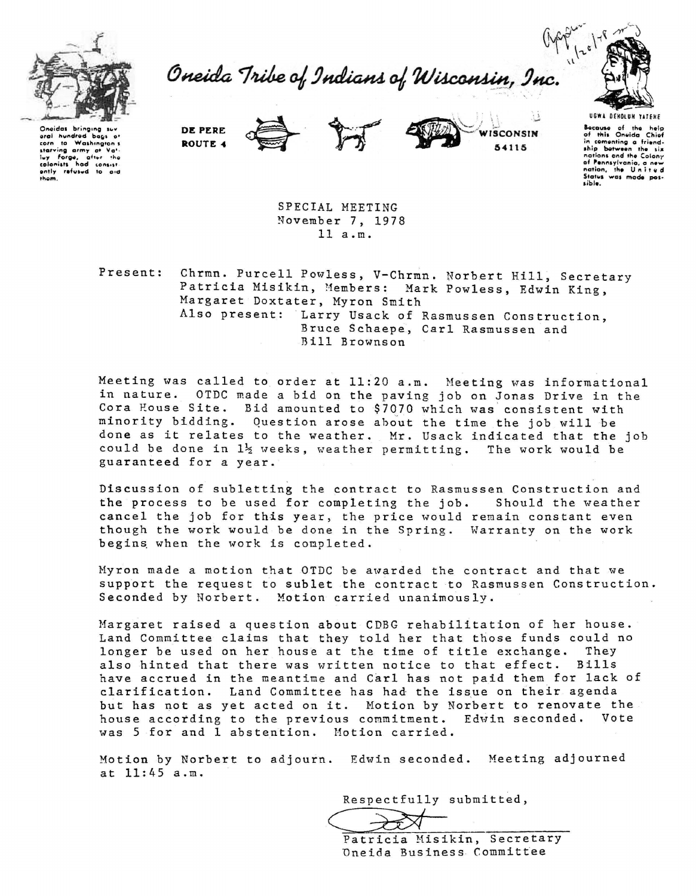

Oneida Tribe of Indians of Wisconsin, Inc.



Oneidas bringing oral hundred bags of corn to washington's<br>lay forge, after the<br>colonists had consistently refused to aid them.

DE PERE ROUTE 4





SPECIAL MEETING November 7, 1978  $11 a.m.$ 

Present: Chrmn. Purcell Powless, V-Chrmn. Norbert Hill, Secretary Patricia Misikin, Members: Mark Powless, Edwin King, Margaret Doxtater, Myron Smith Also present: Larry Usack of Rasmussen Construction, Bruce Schaepe, Carl Rasmussen and Bill Brownson

Meeting was called to order at 11:20 a.m. Meeting was informational in nature. OTDC made a bid on the paving job on Jonas Drive in the Cora House Site. Bid amounted to \$7070 which was consistent with minority bidding. Question arose about the time the job will be done as it relates to the weather. Mr. Usack indicated that the job could be done in  $1\frac{1}{2}$  weeks, weather permitting. The work would be guaranteed for a year.

Discussion of subletting the contract to Rasmussen Construction and the process to be used for completing the job. Should the weather cancel the job for this year, the price would remain constant even though the work would be done in the Spring. Warranty on the work begins when the work is completed.

Myron made a motion that OTDC be awarded the contract and that we support the request to sublet the contract to Rasmussen Construction. Seconded by Norbert. Motion carried unanimously.

Margaret raised a question about CDBG rehabilitation of her house. Land Committee claims that they told her that those funds could no longer be used on her house at the time of title exchange. They also hinted that there was written notice to that effect. Bills have accrued in the meantime and Carl has not paid them for lack of clarification. Land Committee has had the issue on their agenda but has not as yet acted on it. Motion by Norbert to renovate the house according to the previous commitment. Edwin seconded. Vote was 5 for and 1 abstention. Motion carried.

Motion by Norbert to adjourn. Edwin seconded. Meeting adjourned at 11:45 a.m.

Respectfully submitted,

Patricia Misikin, Secretary Oneida Business Committee